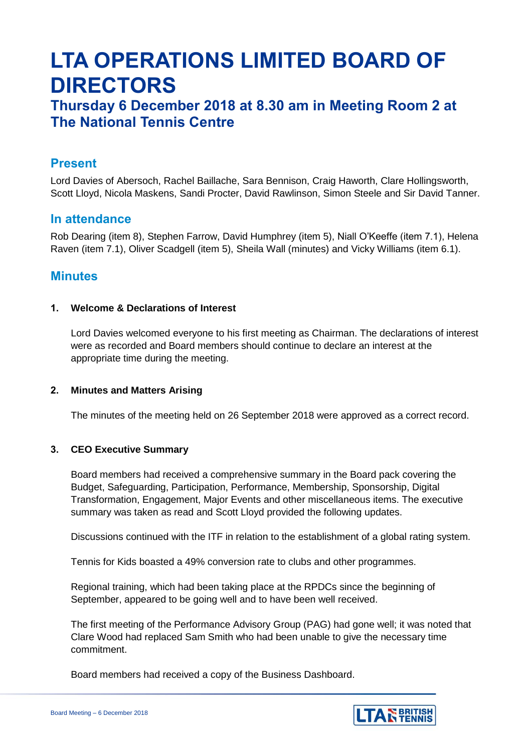# **LTA OPERATIONS LIMITED BOARD OF DIRECTORS**

# **Thursday 6 December 2018 at 8.30 am in Meeting Room 2 at The National Tennis Centre**

# **Present**

Lord Davies of Abersoch, Rachel Baillache, Sara Bennison, Craig Haworth, Clare Hollingsworth, Scott Lloyd, Nicola Maskens, Sandi Procter, David Rawlinson, Simon Steele and Sir David Tanner.

### **In attendance**

Rob Dearing (item 8), Stephen Farrow, David Humphrey (item 5), Niall O'Keeffe (item 7.1), Helena Raven (item 7.1), Oliver Scadgell (item 5), Sheila Wall (minutes) and Vicky Williams (item 6.1).

## **Minutes**

#### **1. Welcome & Declarations of Interest**

Lord Davies welcomed everyone to his first meeting as Chairman. The declarations of interest were as recorded and Board members should continue to declare an interest at the appropriate time during the meeting.

#### **2. Minutes and Matters Arising**

The minutes of the meeting held on 26 September 2018 were approved as a correct record.

#### **3. CEO Executive Summary**

Board members had received a comprehensive summary in the Board pack covering the Budget, Safeguarding, Participation, Performance, Membership, Sponsorship, Digital Transformation, Engagement, Major Events and other miscellaneous items. The executive summary was taken as read and Scott Lloyd provided the following updates.

Discussions continued with the ITF in relation to the establishment of a global rating system.

Tennis for Kids boasted a 49% conversion rate to clubs and other programmes.

Regional training, which had been taking place at the RPDCs since the beginning of September, appeared to be going well and to have been well received.

The first meeting of the Performance Advisory Group (PAG) had gone well; it was noted that Clare Wood had replaced Sam Smith who had been unable to give the necessary time commitment.

Board members had received a copy of the Business Dashboard.

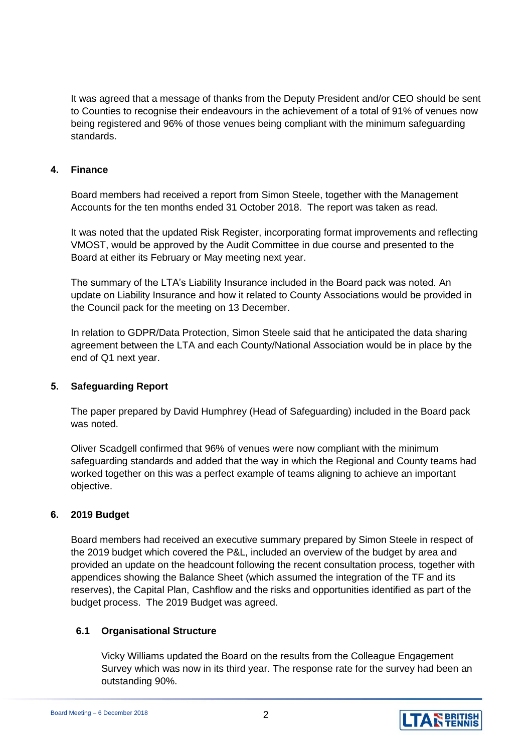It was agreed that a message of thanks from the Deputy President and/or CEO should be sent to Counties to recognise their endeavours in the achievement of a total of 91% of venues now being registered and 96% of those venues being compliant with the minimum safeguarding standards.

#### **4. Finance**

Board members had received a report from Simon Steele, together with the Management Accounts for the ten months ended 31 October 2018. The report was taken as read.

It was noted that the updated Risk Register, incorporating format improvements and reflecting VMOST, would be approved by the Audit Committee in due course and presented to the Board at either its February or May meeting next year.

The summary of the LTA's Liability Insurance included in the Board pack was noted. An update on Liability Insurance and how it related to County Associations would be provided in the Council pack for the meeting on 13 December.

In relation to GDPR/Data Protection, Simon Steele said that he anticipated the data sharing agreement between the LTA and each County/National Association would be in place by the end of Q1 next year.

#### **5. Safeguarding Report**

The paper prepared by David Humphrey (Head of Safeguarding) included in the Board pack was noted.

Oliver Scadgell confirmed that 96% of venues were now compliant with the minimum safeguarding standards and added that the way in which the Regional and County teams had worked together on this was a perfect example of teams aligning to achieve an important objective.

#### **6. 2019 Budget**

Board members had received an executive summary prepared by Simon Steele in respect of the 2019 budget which covered the P&L, included an overview of the budget by area and provided an update on the headcount following the recent consultation process, together with appendices showing the Balance Sheet (which assumed the integration of the TF and its reserves), the Capital Plan, Cashflow and the risks and opportunities identified as part of the budget process. The 2019 Budget was agreed.

#### **6.1 Organisational Structure**

Vicky Williams updated the Board on the results from the Colleague Engagement Survey which was now in its third year. The response rate for the survey had been an outstanding 90%.

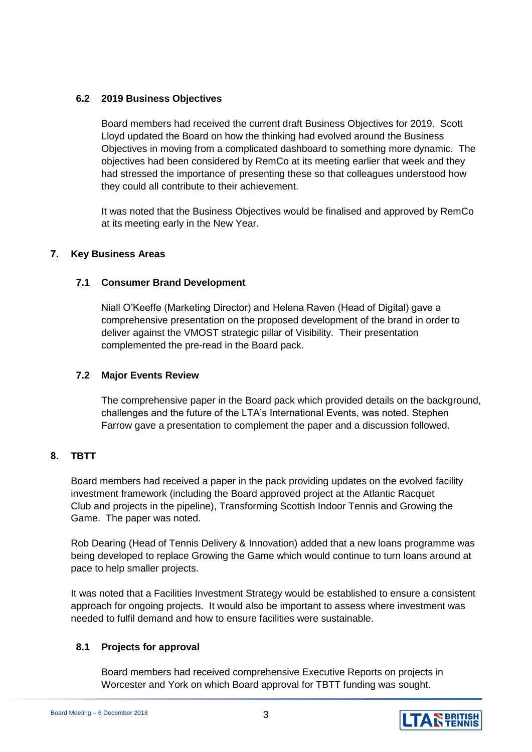#### **6.2 2019 Business Objectives**

Board members had received the current draft Business Objectives for 2019. Scott Lloyd updated the Board on how the thinking had evolved around the Business Objectives in moving from a complicated dashboard to something more dynamic. The objectives had been considered by RemCo at its meeting earlier that week and they had stressed the importance of presenting these so that colleagues understood how they could all contribute to their achievement.

It was noted that the Business Objectives would be finalised and approved by RemCo at its meeting early in the New Year.

#### **7. Key Business Areas**

#### **7.1 Consumer Brand Development**

Niall O'Keeffe (Marketing Director) and Helena Raven (Head of Digital) gave a comprehensive presentation on the proposed development of the brand in order to deliver against the VMOST strategic pillar of Visibility. Their presentation complemented the pre-read in the Board pack.

#### **7.2 Major Events Review**

The comprehensive paper in the Board pack which provided details on the background, challenges and the future of the LTA's International Events, was noted. Stephen Farrow gave a presentation to complement the paper and a discussion followed.

#### **8. TBTT**

Board members had received a paper in the pack providing updates on the evolved facility investment framework (including the Board approved project at the Atlantic Racquet Club and projects in the pipeline), Transforming Scottish Indoor Tennis and Growing the Game. The paper was noted.

Rob Dearing (Head of Tennis Delivery & Innovation) added that a new loans programme was being developed to replace Growing the Game which would continue to turn loans around at pace to help smaller projects.

It was noted that a Facilities Investment Strategy would be established to ensure a consistent approach for ongoing projects. It would also be important to assess where investment was needed to fulfil demand and how to ensure facilities were sustainable.

#### **8.1 Projects for approval**

Board members had received comprehensive Executive Reports on projects in Worcester and York on which Board approval for TBTT funding was sought.

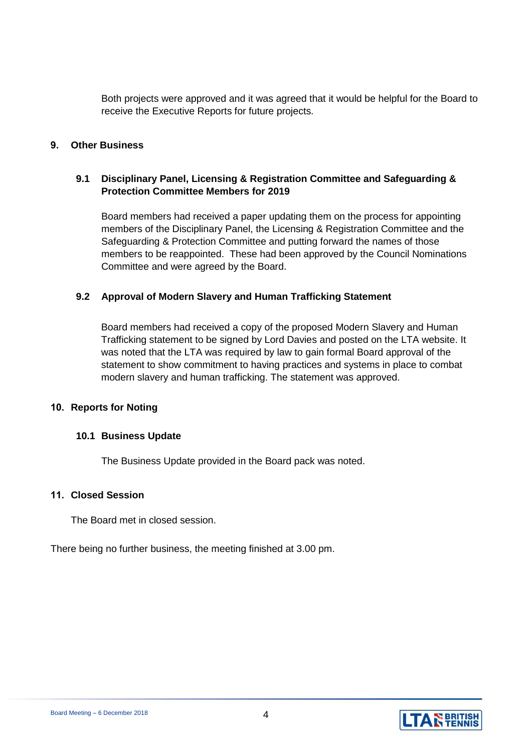Both projects were approved and it was agreed that it would be helpful for the Board to receive the Executive Reports for future projects.

#### **9. Other Business**

#### **9.1 Disciplinary Panel, Licensing & Registration Committee and Safeguarding & Protection Committee Members for 2019**

Board members had received a paper updating them on the process for appointing members of the Disciplinary Panel, the Licensing & Registration Committee and the Safeguarding & Protection Committee and putting forward the names of those members to be reappointed. These had been approved by the Council Nominations Committee and were agreed by the Board.

#### **9.2 Approval of Modern Slavery and Human Trafficking Statement**

Board members had received a copy of the proposed Modern Slavery and Human Trafficking statement to be signed by Lord Davies and posted on the LTA website. It was noted that the LTA was required by law to gain formal Board approval of the statement to show commitment to having practices and systems in place to combat modern slavery and human trafficking. The statement was approved.

#### **10. Reports for Noting**

#### **10.1 Business Update**

The Business Update provided in the Board pack was noted.

#### **11. Closed Session**

The Board met in closed session.

There being no further business, the meeting finished at 3.00 pm.

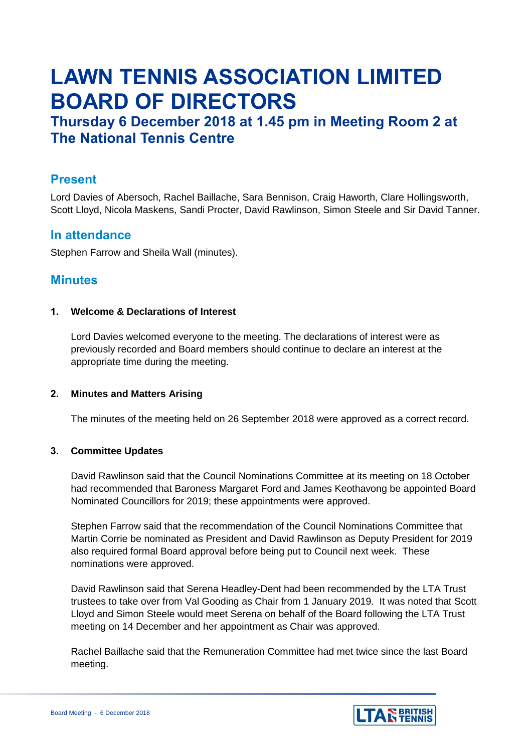# **LAWN TENNIS ASSOCIATION LIMITED BOARD OF DIRECTORS**

# **Thursday 6 December 2018 at 1.45 pm in Meeting Room 2 at The National Tennis Centre**

# **Present**

Lord Davies of Abersoch, Rachel Baillache, Sara Bennison, Craig Haworth, Clare Hollingsworth, Scott Lloyd, Nicola Maskens, Sandi Procter, David Rawlinson, Simon Steele and Sir David Tanner.

### **In attendance**

Stephen Farrow and Sheila Wall (minutes).

# **Minutes**

#### **1. Welcome & Declarations of Interest**

Lord Davies welcomed everyone to the meeting. The declarations of interest were as previously recorded and Board members should continue to declare an interest at the appropriate time during the meeting.

#### **2. Minutes and Matters Arising**

The minutes of the meeting held on 26 September 2018 were approved as a correct record.

#### **3. Committee Updates**

David Rawlinson said that the Council Nominations Committee at its meeting on 18 October had recommended that Baroness Margaret Ford and James Keothavong be appointed Board Nominated Councillors for 2019; these appointments were approved.

Stephen Farrow said that the recommendation of the Council Nominations Committee that Martin Corrie be nominated as President and David Rawlinson as Deputy President for 2019 also required formal Board approval before being put to Council next week. These nominations were approved.

David Rawlinson said that Serena Headley-Dent had been recommended by the LTA Trust trustees to take over from Val Gooding as Chair from 1 January 2019. It was noted that Scott Lloyd and Simon Steele would meet Serena on behalf of the Board following the LTA Trust meeting on 14 December and her appointment as Chair was approved.

Rachel Baillache said that the Remuneration Committee had met twice since the last Board meeting.